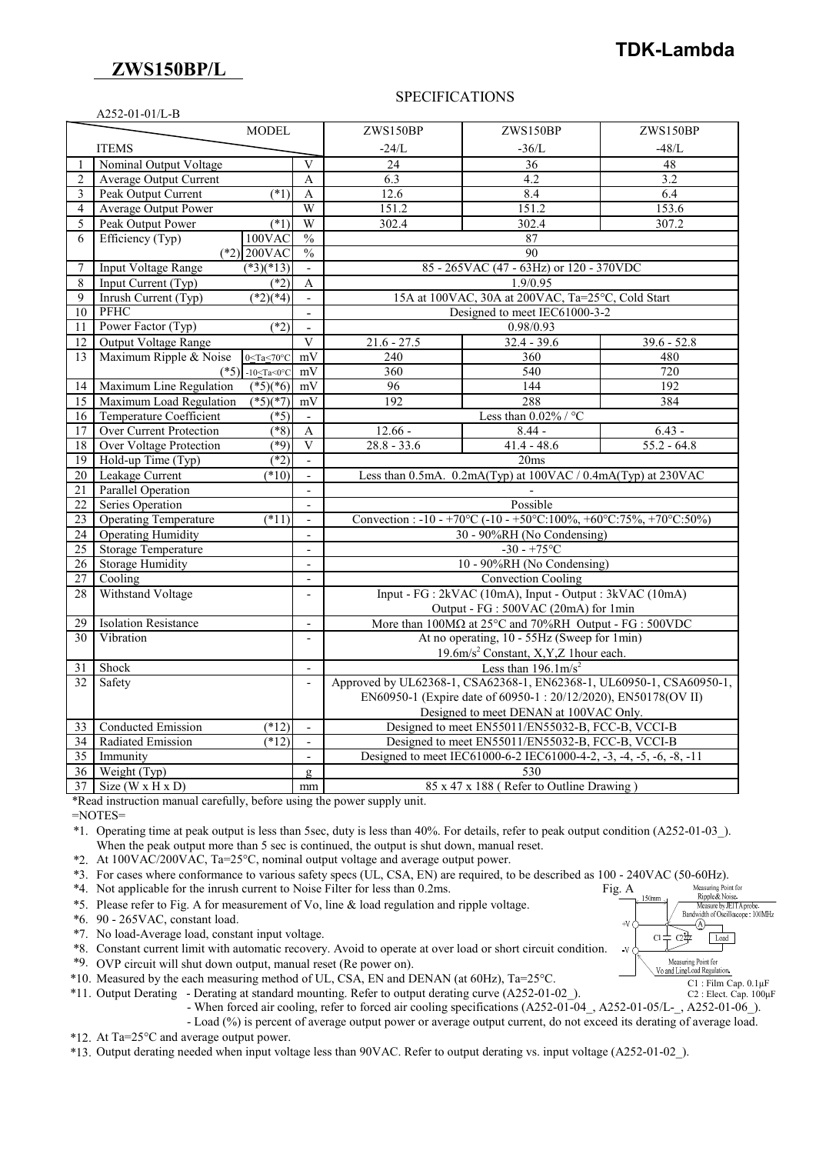## **ZWS150BP/L**

# **TDK-Lambda**

#### SPECIFICATIONS

| A252-01-01/L-B |                                                        |                             |                                                                                                             |               |               |  |  |  |
|----------------|--------------------------------------------------------|-----------------------------|-------------------------------------------------------------------------------------------------------------|---------------|---------------|--|--|--|
|                | MODEL                                                  |                             | ZWS150BP                                                                                                    | ZWS150BP      | ZWS150BP      |  |  |  |
| <b>ITEMS</b>   |                                                        |                             | $-24/L$                                                                                                     | $-36/L$       | -48/L         |  |  |  |
|                | Nominal Output Voltage                                 | V                           | 24                                                                                                          | 36            | 48            |  |  |  |
| 2              | <b>Average Output Current</b>                          | $\mathbf{A}$                | 6.3                                                                                                         | 4.2           | 3.2           |  |  |  |
| 3              | Peak Output Current<br>$(*1)$                          | $\mathbf{A}$                | 12.6                                                                                                        | 8.4           | 6.4           |  |  |  |
| 4              | <b>Average Output Power</b>                            | W                           | 151.2                                                                                                       | 151.2         | 153.6         |  |  |  |
| 5              | Peak Output Power<br>$(*1)$                            | W                           | 302.4                                                                                                       | 302.4         | 307.2         |  |  |  |
| 6              | Efficiency (Typ)<br>$100$ VAC                          | $\frac{0}{0}$               |                                                                                                             | 87            |               |  |  |  |
|                | $(*2)$ 200VAC                                          | $\frac{0}{0}$               | 90                                                                                                          |               |               |  |  |  |
| 7              | <b>Input Voltage Range</b><br>$(*3)(*13)$              | $\mathbf{r}$                | 85 - 265VAC (47 - 63Hz) or 120 - 370VDC                                                                     |               |               |  |  |  |
| 8              | Input Current (Typ)<br>$(*2)$                          | A                           | 1.9/0.95                                                                                                    |               |               |  |  |  |
| 9              | Inrush Current (Typ)<br>$*2(4)$                        |                             | 15A at 100VAC, 30A at 200VAC, Ta=25°C, Cold Start                                                           |               |               |  |  |  |
| 10             | <b>PFHC</b>                                            | $\blacksquare$              | Designed to meet IEC61000-3-2                                                                               |               |               |  |  |  |
| 11             | Power Factor (Typ)<br>$(*2)$                           | $\overline{a}$              | 0.98/0.93                                                                                                   |               |               |  |  |  |
| 12             | Output Voltage Range                                   | $\overline{\mathbf{V}}$     | $21.6 - 27.5$                                                                                               | $32.4 - 39.6$ | $39.6 - 52.8$ |  |  |  |
| 13             | Maximum Ripple & Noise<br>$0 \leq Ta \leq 70^{\circ}C$ | mV                          | 240                                                                                                         | 360           | 480           |  |  |  |
|                | (*5) $-10 \leq Ta \leq 0^{\circ}C$                     | mV                          | 360                                                                                                         | 540           | 720           |  |  |  |
| 14             | Maximum Line Regulation<br>$(*5)(*6)$                  | mV                          | 96                                                                                                          | 144           | 192           |  |  |  |
| 15             | $(*5)(*7)$<br>Maximum Load Regulation                  | mV                          | 192                                                                                                         | 288           | 384           |  |  |  |
| 16             | $(*5)$<br>Temperature Coefficient                      |                             | Less than $0.02\%$ / °C                                                                                     |               |               |  |  |  |
| 17             | <b>Over Current Protection</b><br>$(*8)$               | A                           | $12.66 -$                                                                                                   | $8.44 -$      | $6.43 -$      |  |  |  |
| 18             | $(*9)$<br><b>Over Voltage Protection</b>               | $\overline{\mathbf{V}}$     | $28.8 - 33.6$                                                                                               | $41.4 - 48.6$ | $55.2 - 64.8$ |  |  |  |
| 19             | Hold-up Time (Typ)<br>$(*2)$                           | $\mathcal{L}^{\mathcal{A}}$ | 20ms                                                                                                        |               |               |  |  |  |
| 20             | (10)<br>Leakage Current                                | $\mathbf{r}$                | Less than 0.5mA. 0.2mA(Typ) at 100VAC / 0.4mA(Typ) at 230VAC                                                |               |               |  |  |  |
| 21             | <b>Parallel Operation</b>                              |                             |                                                                                                             |               |               |  |  |  |
| 22             | Series Operation                                       | $\overline{\phantom{a}}$    | Possible                                                                                                    |               |               |  |  |  |
| 23             | <b>Operating Temperature</b><br>$(*11)$                | $\overline{a}$              | Convection: $-10 - +70\degree$ C $(-10 - +50\degree$ C: $100\% + 60\degree$ C: $75\% + 70\degree$ C: $50\%$ |               |               |  |  |  |
| 24             | <b>Operating Humidity</b>                              | $\overline{a}$              | 30 - 90%RH (No Condensing)                                                                                  |               |               |  |  |  |
| 25             | <b>Storage Temperature</b>                             | $\sim$                      | $-30 - +75$ °C                                                                                              |               |               |  |  |  |
| 26             | <b>Storage Humidity</b>                                | $\overline{a}$              | 10 - 90%RH (No Condensing)                                                                                  |               |               |  |  |  |
| 27             | Cooling                                                | $\mathbf{r}$                | <b>Convection Cooling</b>                                                                                   |               |               |  |  |  |
| 28             | Withstand Voltage                                      | $\overline{\phantom{a}}$    | Input - FG : 2kVAC (10mA), Input - Output : 3kVAC (10mA)                                                    |               |               |  |  |  |
|                |                                                        |                             | Output - FG : 500VAC (20mA) for 1min                                                                        |               |               |  |  |  |
| 29             | <b>Isolation Resistance</b>                            | $\overline{\phantom{a}}$    | More than $100M\Omega$ at $25^{\circ}$ C and $70\%$ RH Output - FG : $500VDC$                               |               |               |  |  |  |
| 30             | Vibration                                              |                             | At no operating, 10 - 55Hz (Sweep for 1min)                                                                 |               |               |  |  |  |
|                |                                                        |                             | 19.6m/s <sup>2</sup> Constant, X,Y,Z 1hour each.                                                            |               |               |  |  |  |
| 31             | Shock                                                  | $\overline{a}$              | Less than $196.1 \text{m/s}^2$                                                                              |               |               |  |  |  |
| 32             | Safety                                                 | $\overline{a}$              | Approved by UL62368-1, CSA62368-1, EN62368-1, UL60950-1, CSA60950-1,                                        |               |               |  |  |  |
|                |                                                        |                             | EN60950-1 (Expire date of 60950-1:20/12/2020), EN50178(OV II)                                               |               |               |  |  |  |
|                |                                                        |                             | Designed to meet DENAN at 100VAC Only.                                                                      |               |               |  |  |  |
| 33             | Conducted Emission<br>$(*12)$                          | $\mathbf{r}$                | Designed to meet EN55011/EN55032-B, FCC-B, VCCI-B                                                           |               |               |  |  |  |
| 34             | Radiated Emission<br>$(*12)$                           | $\overline{a}$              | Designed to meet EN55011/EN55032-B, FCC-B, VCCI-B                                                           |               |               |  |  |  |
| 35             | Immunity                                               |                             | Designed to meet IEC61000-6-2 IEC61000-4-2, -3, -4, -5, -6, -8, -11                                         |               |               |  |  |  |
| 36             | Weight (Typ)                                           | $\mathbf{g}$                | 530                                                                                                         |               |               |  |  |  |
| 37             | Size ( $W \times H \times D$ )                         | mm                          | 85 x 47 x 188 (Refer to Outline Drawing)                                                                    |               |               |  |  |  |

\*Read instruction manual carefully, before using the power supply unit.

=NOTES=

\*1. Operating time at peak output is less than 5sec, duty is less than 40%. For details, refer to peak output condition (A252-01-03\_). When the peak output more than 5 sec is continued, the output is shut down, manual reset.

\*2. At 100VAC/200VAC, Ta=25°C, nominal output voltage and average output power.

\*3. For cases where conformance to various safety specs (UL, CSA, EN) are required, to be described as 100 - 240VAC (50-60Hz).<br>\*4. Not applicable for the inrush current to Noise Filter for less than 0.2ms.<br>\*5. Please refer

\*4. Not applicable for the inrush current to Noise Filter for less than 0.2ms. Fig. A

\*5. Please refer to Fig. A for measurement of Vo, line & load regulation and ripple voltage.

\*6. 90 - 265VAC, constant load.

\*7. No load-Average load, constant input voltage.

\*8. Constant current limit with automatic recovery. Avoid to operate at over load or short circuit condition.

\*9. OVP circuit will shut down output, manual reset (Re power on).

\*10. Measured by the each measuring method of UL, CSA, EN and DENAN (at 60Hz), Ta=25°C.

\*11. Output Derating - Derating at standard mounting. Refer to output derating curve (A252-01-02\_).

- When forced air cooling, refer to forced air cooling specifications (A252-01-04\_, A252-01-05/L-\_, A252-01-06\_).

- Load (%) is percent of average output power or average output current, do not exceed its derating of average load.

\*12. At Ta=25°C and average output power.

\*13. Output derating needed when input voltage less than 90VAC. Refer to output derating vs. input voltage (A252-01-02\_).



C1 : Film Cap. 0.1μF C2 : Elect. Cap. 100μF